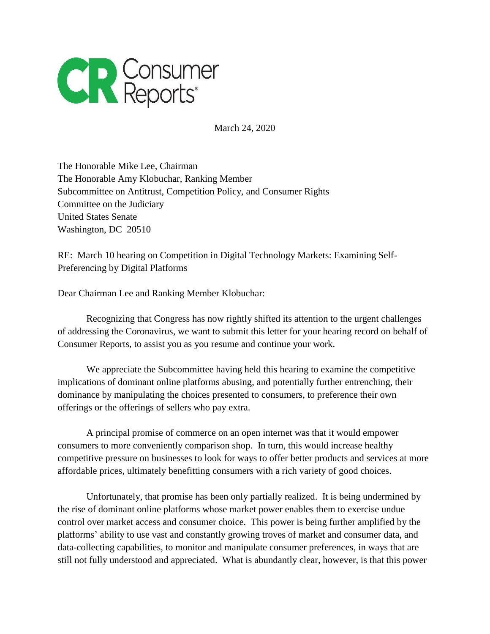

March 24, 2020

The Honorable Mike Lee, Chairman The Honorable Amy Klobuchar, Ranking Member Subcommittee on Antitrust, Competition Policy, and Consumer Rights Committee on the Judiciary United States Senate Washington, DC 20510

RE: March 10 hearing on Competition in Digital Technology Markets: Examining Self-Preferencing by Digital Platforms

Dear Chairman Lee and Ranking Member Klobuchar:

Recognizing that Congress has now rightly shifted its attention to the urgent challenges of addressing the Coronavirus, we want to submit this letter for your hearing record on behalf of Consumer Reports, to assist you as you resume and continue your work.

We appreciate the Subcommittee having held this hearing to examine the competitive implications of dominant online platforms abusing, and potentially further entrenching, their dominance by manipulating the choices presented to consumers, to preference their own offerings or the offerings of sellers who pay extra.

A principal promise of commerce on an open internet was that it would empower consumers to more conveniently comparison shop. In turn, this would increase healthy competitive pressure on businesses to look for ways to offer better products and services at more affordable prices, ultimately benefitting consumers with a rich variety of good choices.

Unfortunately, that promise has been only partially realized. It is being undermined by the rise of dominant online platforms whose market power enables them to exercise undue control over market access and consumer choice. This power is being further amplified by the platforms' ability to use vast and constantly growing troves of market and consumer data, and data-collecting capabilities, to monitor and manipulate consumer preferences, in ways that are still not fully understood and appreciated. What is abundantly clear, however, is that this power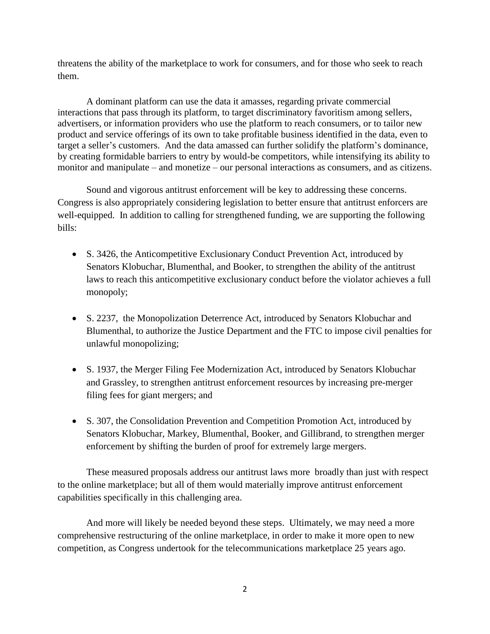threatens the ability of the marketplace to work for consumers, and for those who seek to reach them.

A dominant platform can use the data it amasses, regarding private commercial interactions that pass through its platform, to target discriminatory favoritism among sellers, advertisers, or information providers who use the platform to reach consumers, or to tailor new product and service offerings of its own to take profitable business identified in the data, even to target a seller's customers. And the data amassed can further solidify the platform's dominance, by creating formidable barriers to entry by would-be competitors, while intensifying its ability to monitor and manipulate – and monetize – our personal interactions as consumers, and as citizens.

Sound and vigorous antitrust enforcement will be key to addressing these concerns. Congress is also appropriately considering legislation to better ensure that antitrust enforcers are well-equipped. In addition to calling for strengthened funding, we are supporting the following bills:

- S. 3426, the Anticompetitive Exclusionary Conduct Prevention Act, introduced by Senators Klobuchar, Blumenthal, and Booker, to strengthen the ability of the antitrust laws to reach this anticompetitive exclusionary conduct before the violator achieves a full monopoly;
- S. 2237, the Monopolization Deterrence Act, introduced by Senators Klobuchar and Blumenthal, to authorize the Justice Department and the FTC to impose civil penalties for unlawful monopolizing;
- S. 1937, the Merger Filing Fee Modernization Act, introduced by Senators Klobuchar and Grassley, to strengthen antitrust enforcement resources by increasing pre-merger filing fees for giant mergers; and
- S. 307, the Consolidation Prevention and Competition Promotion Act, introduced by Senators Klobuchar, Markey, Blumenthal, Booker, and Gillibrand, to strengthen merger enforcement by shifting the burden of proof for extremely large mergers.

These measured proposals address our antitrust laws more broadly than just with respect to the online marketplace; but all of them would materially improve antitrust enforcement capabilities specifically in this challenging area.

And more will likely be needed beyond these steps. Ultimately, we may need a more comprehensive restructuring of the online marketplace, in order to make it more open to new competition, as Congress undertook for the telecommunications marketplace 25 years ago.